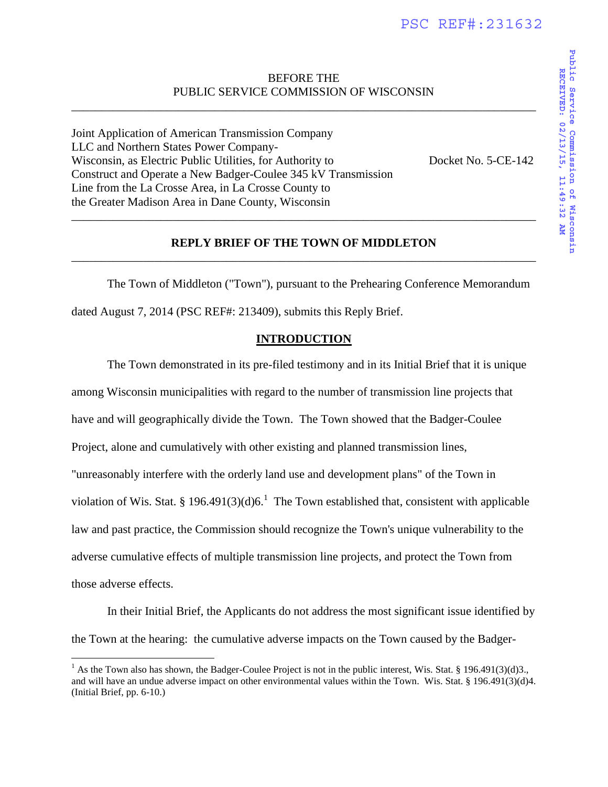# BEFORE THE PUBLIC SERVICE COMMISSION OF WISCONSIN

\_\_\_\_\_\_\_\_\_\_\_\_\_\_\_\_\_\_\_\_\_\_\_\_\_\_\_\_\_\_\_\_\_\_\_\_\_\_\_\_\_\_\_\_\_\_\_\_\_\_\_\_\_\_\_\_\_\_\_\_\_\_\_\_\_\_\_\_\_\_\_\_\_\_\_\_\_\_

Joint Application of American Transmission Company LLC and Northern States Power Company-Wisconsin, as Electric Public Utilities, for Authority to Docket No. 5-CE-142 Construct and Operate a New Badger-Coulee 345 kV Transmission Line from the La Crosse Area, in La Crosse County to the Greater Madison Area in Dane County, Wisconsin

## **REPLY BRIEF OF THE TOWN OF MIDDLETON**  \_\_\_\_\_\_\_\_\_\_\_\_\_\_\_\_\_\_\_\_\_\_\_\_\_\_\_\_\_\_\_\_\_\_\_\_\_\_\_\_\_\_\_\_\_\_\_\_\_\_\_\_\_\_\_\_\_\_\_\_\_\_\_\_\_\_\_\_\_\_\_\_\_\_\_\_\_\_

\_\_\_\_\_\_\_\_\_\_\_\_\_\_\_\_\_\_\_\_\_\_\_\_\_\_\_\_\_\_\_\_\_\_\_\_\_\_\_\_\_\_\_\_\_\_\_\_\_\_\_\_\_\_\_\_\_\_\_\_\_\_\_\_\_\_\_\_\_\_\_\_\_\_\_\_\_\_

The Town of Middleton ("Town"), pursuant to the Prehearing Conference Memorandum dated August 7, 2014 (PSC REF#: 213409), submits this Reply Brief.

## **INTRODUCTION**

The Town demonstrated in its pre-filed testimony and in its Initial Brief that it is unique among Wisconsin municipalities with regard to the number of transmission line projects that have and will geographically divide the Town. The Town showed that the Badger-Coulee Project, alone and cumulatively with other existing and planned transmission lines, "unreasonably interfere with the orderly land use and development plans" of the Town in violation of Wis. Stat. § 196.491(3)(d)6.<sup>1</sup> The Town established that, consistent with applicable law and past practice, the Commission should recognize the Town's unique vulnerability to the adverse cumulative effects of multiple transmission line projects, and protect the Town from those adverse effects.

In their Initial Brief, the Applicants do not address the most significant issue identified by the Town at the hearing: the cumulative adverse impacts on the Town caused by the Badger-

 $\overline{a}$ 

<sup>&</sup>lt;sup>1</sup> As the Town also has shown, the Badger-Coulee Project is not in the public interest, Wis. Stat. § 196.491(3)(d)3., and will have an undue adverse impact on other environmental values within the Town. Wis. Stat. § 196.491(3)(d)4. (Initial Brief, pp. 6-10.)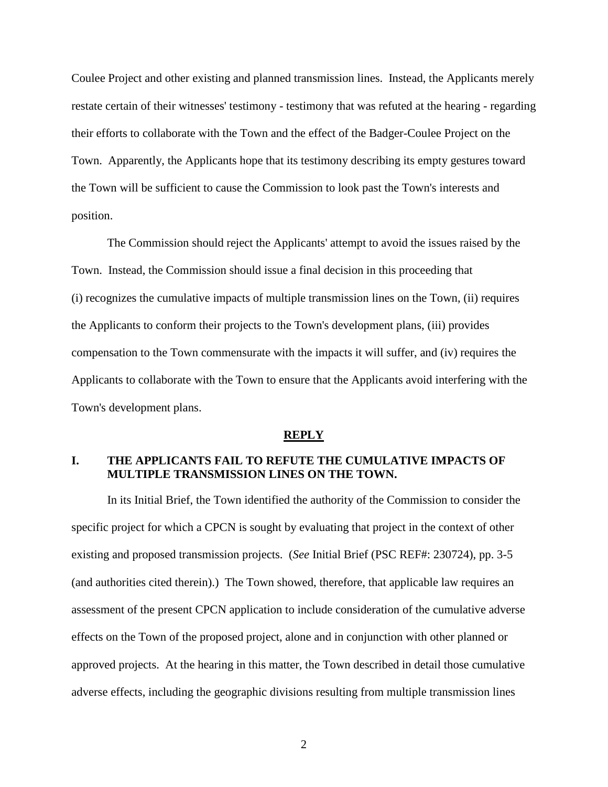Coulee Project and other existing and planned transmission lines. Instead, the Applicants merely restate certain of their witnesses' testimony - testimony that was refuted at the hearing - regarding their efforts to collaborate with the Town and the effect of the Badger-Coulee Project on the Town. Apparently, the Applicants hope that its testimony describing its empty gestures toward the Town will be sufficient to cause the Commission to look past the Town's interests and position.

The Commission should reject the Applicants' attempt to avoid the issues raised by the Town. Instead, the Commission should issue a final decision in this proceeding that (i) recognizes the cumulative impacts of multiple transmission lines on the Town, (ii) requires the Applicants to conform their projects to the Town's development plans, (iii) provides compensation to the Town commensurate with the impacts it will suffer, and (iv) requires the Applicants to collaborate with the Town to ensure that the Applicants avoid interfering with the Town's development plans.

#### **REPLY**

# **I. THE APPLICANTS FAIL TO REFUTE THE CUMULATIVE IMPACTS OF MULTIPLE TRANSMISSION LINES ON THE TOWN.**

In its Initial Brief, the Town identified the authority of the Commission to consider the specific project for which a CPCN is sought by evaluating that project in the context of other existing and proposed transmission projects. (*See* Initial Brief (PSC REF#: 230724), pp. 3-5 (and authorities cited therein).) The Town showed, therefore, that applicable law requires an assessment of the present CPCN application to include consideration of the cumulative adverse effects on the Town of the proposed project, alone and in conjunction with other planned or approved projects. At the hearing in this matter, the Town described in detail those cumulative adverse effects, including the geographic divisions resulting from multiple transmission lines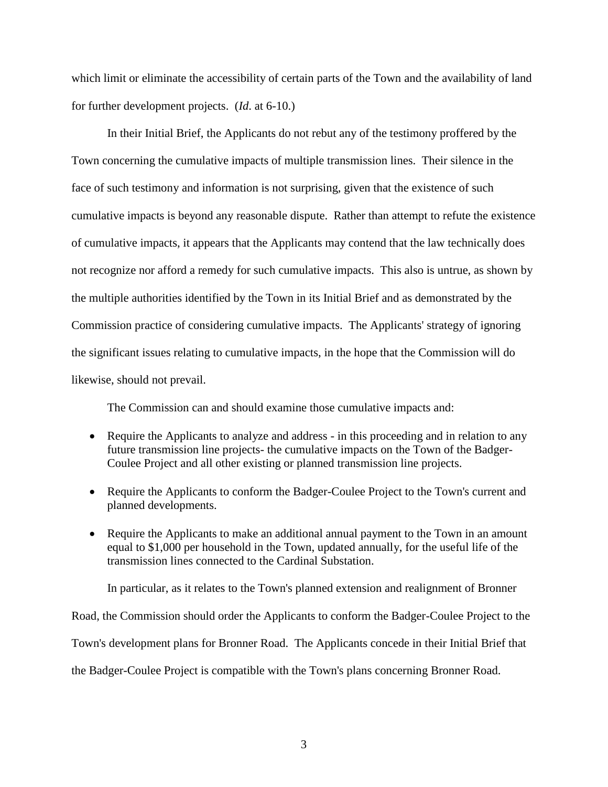which limit or eliminate the accessibility of certain parts of the Town and the availability of land for further development projects. (*Id*. at 6-10.)

In their Initial Brief, the Applicants do not rebut any of the testimony proffered by the Town concerning the cumulative impacts of multiple transmission lines. Their silence in the face of such testimony and information is not surprising, given that the existence of such cumulative impacts is beyond any reasonable dispute. Rather than attempt to refute the existence of cumulative impacts, it appears that the Applicants may contend that the law technically does not recognize nor afford a remedy for such cumulative impacts. This also is untrue, as shown by the multiple authorities identified by the Town in its Initial Brief and as demonstrated by the Commission practice of considering cumulative impacts. The Applicants' strategy of ignoring the significant issues relating to cumulative impacts, in the hope that the Commission will do likewise, should not prevail.

The Commission can and should examine those cumulative impacts and:

- Require the Applicants to analyze and address in this proceeding and in relation to any future transmission line projects- the cumulative impacts on the Town of the Badger-Coulee Project and all other existing or planned transmission line projects.
- Require the Applicants to conform the Badger-Coulee Project to the Town's current and planned developments.
- Require the Applicants to make an additional annual payment to the Town in an amount equal to \$1,000 per household in the Town, updated annually, for the useful life of the transmission lines connected to the Cardinal Substation.

In particular, as it relates to the Town's planned extension and realignment of Bronner Road, the Commission should order the Applicants to conform the Badger-Coulee Project to the Town's development plans for Bronner Road. The Applicants concede in their Initial Brief that the Badger-Coulee Project is compatible with the Town's plans concerning Bronner Road.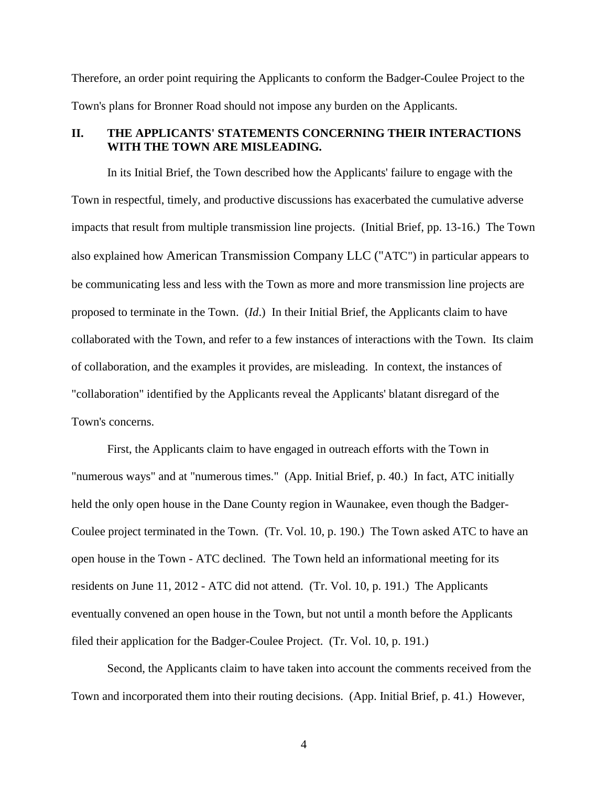Therefore, an order point requiring the Applicants to conform the Badger-Coulee Project to the Town's plans for Bronner Road should not impose any burden on the Applicants.

# **II. THE APPLICANTS' STATEMENTS CONCERNING THEIR INTERACTIONS WITH THE TOWN ARE MISLEADING.**

In its Initial Brief, the Town described how the Applicants' failure to engage with the Town in respectful, timely, and productive discussions has exacerbated the cumulative adverse impacts that result from multiple transmission line projects. (Initial Brief, pp. 13-16.) The Town also explained how American Transmission Company LLC ("ATC") in particular appears to be communicating less and less with the Town as more and more transmission line projects are proposed to terminate in the Town. (*Id*.) In their Initial Brief, the Applicants claim to have collaborated with the Town, and refer to a few instances of interactions with the Town. Its claim of collaboration, and the examples it provides, are misleading. In context, the instances of "collaboration" identified by the Applicants reveal the Applicants' blatant disregard of the Town's concerns.

First, the Applicants claim to have engaged in outreach efforts with the Town in "numerous ways" and at "numerous times." (App. Initial Brief, p. 40.) In fact, ATC initially held the only open house in the Dane County region in Waunakee, even though the Badger-Coulee project terminated in the Town. (Tr. Vol. 10, p. 190.) The Town asked ATC to have an open house in the Town - ATC declined. The Town held an informational meeting for its residents on June 11, 2012 - ATC did not attend. (Tr. Vol. 10, p. 191.) The Applicants eventually convened an open house in the Town, but not until a month before the Applicants filed their application for the Badger-Coulee Project. (Tr. Vol. 10, p. 191.)

Second, the Applicants claim to have taken into account the comments received from the Town and incorporated them into their routing decisions. (App. Initial Brief, p. 41.) However,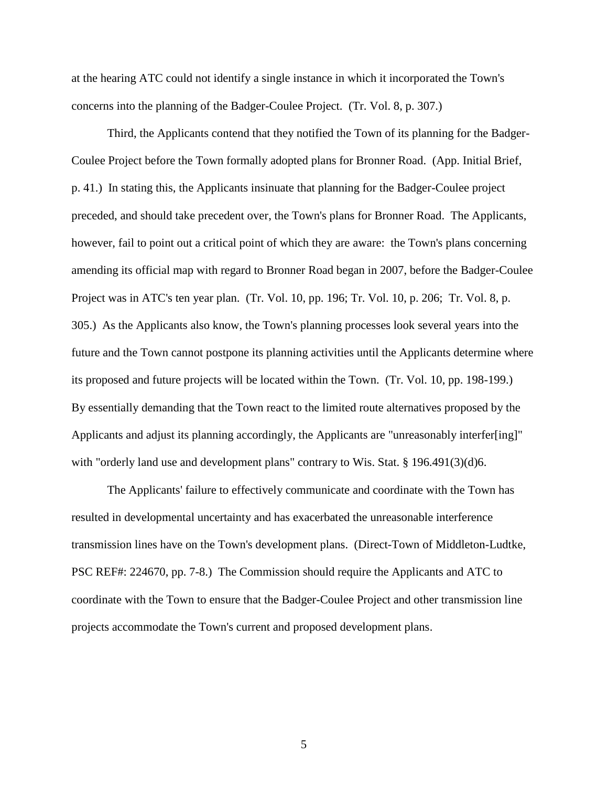at the hearing ATC could not identify a single instance in which it incorporated the Town's concerns into the planning of the Badger-Coulee Project. (Tr. Vol. 8, p. 307.)

Third, the Applicants contend that they notified the Town of its planning for the Badger-Coulee Project before the Town formally adopted plans for Bronner Road. (App. Initial Brief, p. 41.) In stating this, the Applicants insinuate that planning for the Badger-Coulee project preceded, and should take precedent over, the Town's plans for Bronner Road. The Applicants, however, fail to point out a critical point of which they are aware: the Town's plans concerning amending its official map with regard to Bronner Road began in 2007, before the Badger-Coulee Project was in ATC's ten year plan. (Tr. Vol. 10, pp. 196; Tr. Vol. 10, p. 206; Tr. Vol. 8, p. 305.) As the Applicants also know, the Town's planning processes look several years into the future and the Town cannot postpone its planning activities until the Applicants determine where its proposed and future projects will be located within the Town. (Tr. Vol. 10, pp. 198-199.) By essentially demanding that the Town react to the limited route alternatives proposed by the Applicants and adjust its planning accordingly, the Applicants are "unreasonably interfer[ing]" with "orderly land use and development plans" contrary to Wis. Stat. § 196.491(3)(d)6.

The Applicants' failure to effectively communicate and coordinate with the Town has resulted in developmental uncertainty and has exacerbated the unreasonable interference transmission lines have on the Town's development plans. (Direct-Town of Middleton-Ludtke, PSC REF#: 224670, pp. 7-8.) The Commission should require the Applicants and ATC to coordinate with the Town to ensure that the Badger-Coulee Project and other transmission line projects accommodate the Town's current and proposed development plans.